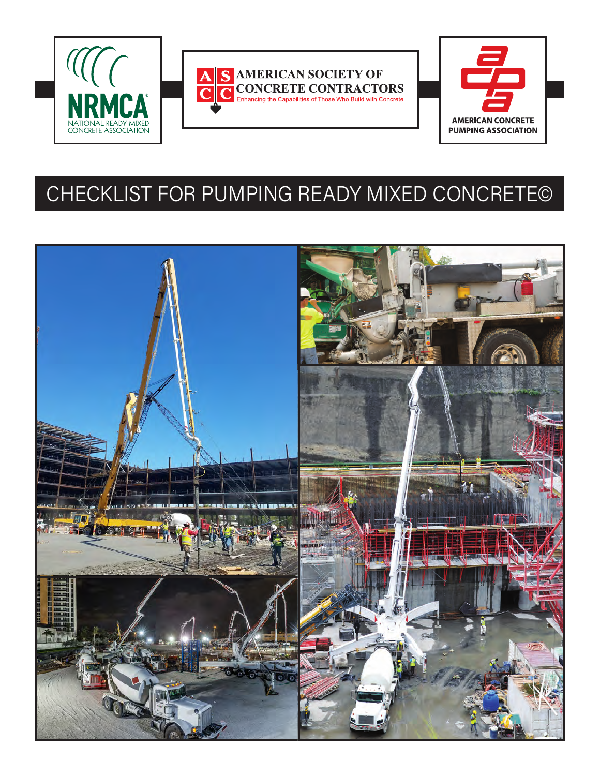





# CHECKLIST FOR PUMPING READY MIXED CONCRETE©

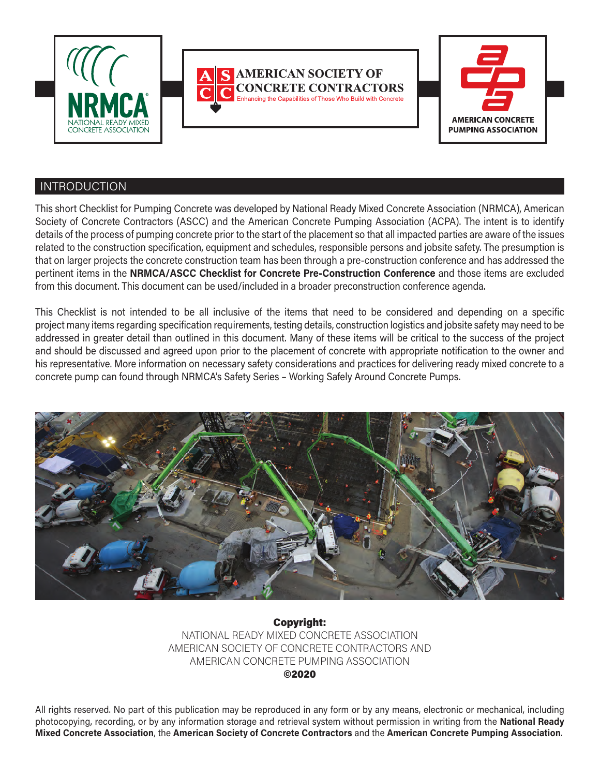





# INTRODUCTION

This short Checklist for Pumping Concrete was developed by National Ready Mixed Concrete Association (NRMCA), American Society of Concrete Contractors (ASCC) and the American Concrete Pumping Association (ACPA). The intent is to identify details of the process of pumping concrete prior to the start of the placement so that all impacted parties are aware of the issues related to the construction specification, equipment and schedules, responsible persons and jobsite safety. The presumption is that on larger projects the concrete construction team has been through a pre-construction conference and has addressed the pertinent items in the **NRMCA/ASCC Checklist for Concrete Pre-Construction Conference** and those items are excluded from this document. This document can be used/included in a broader preconstruction conference agenda.

This Checklist is not intended to be all inclusive of the items that need to be considered and depending on a specific project many items regarding specification requirements, testing details, construction logistics and jobsite safety may need to be addressed in greater detail than outlined in this document. Many of these items will be critical to the success of the project and should be discussed and agreed upon prior to the placement of concrete with appropriate notification to the owner and his representative. More information on necessary safety considerations and practices for delivering ready mixed concrete to a concrete pump can found through NRMCA's Safety Series – Working Safely Around Concrete Pumps.



Copyright: NATIONAL READY MIXED CONCRETE ASSOCIATION AMERICAN SOCIETY OF CONCRETE CONTRACTORS AND AMERICAN CONCRETE PUMPING ASSOCIATION ©2020

All rights reserved. No part of this publication may be reproduced in any form or by any means, electronic or mechanical, including photocopying, recording, or by any information storage and retrieval system without permission in writing from the **National Ready Mixed Concrete Association**, the **American Society of Concrete Contractors** and the **American Concrete Pumping Association**.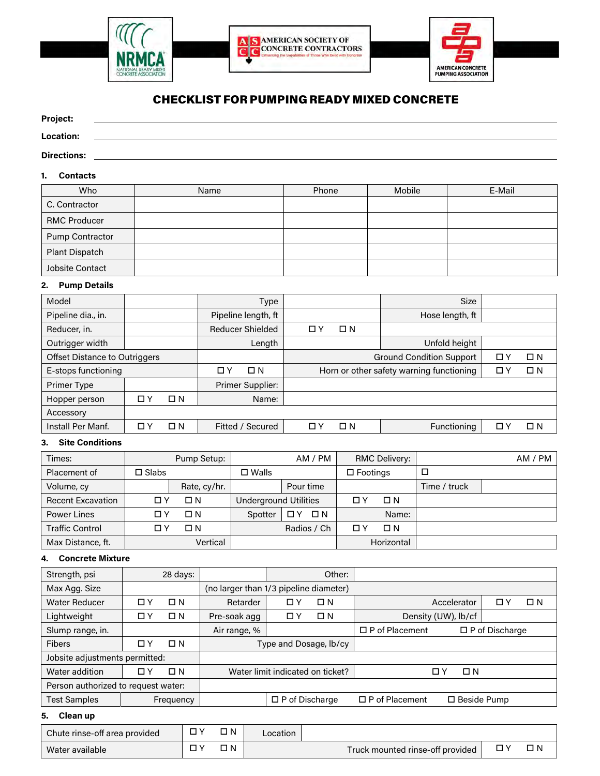





# CHECKLIST FORPUMPING READY MIXED CONCRETE

#### **Project:**

#### **Location:**

#### **Directions:**

#### **1. Contacts**

| Who                   | Name | Phone | Mobile | E-Mail |
|-----------------------|------|-------|--------|--------|
| C. Contractor         |      |       |        |        |
| <b>RMC Producer</b>   |      |       |        |        |
| Pump Contractor       |      |       |        |        |
| <b>Plant Dispatch</b> |      |       |        |        |
| Jobsite Contact       |      |       |        |        |

#### **2. Pump Details**

| Model                                |          |          | <b>Size</b><br>Type |                                          |    |             |                 |             |             |
|--------------------------------------|----------|----------|---------------------|------------------------------------------|----|-------------|-----------------|-------------|-------------|
| Pipeline dia., in.                   |          |          |                     | Pipeline length, ft                      |    |             | Hose length, ft |             |             |
| Reducer, in.                         |          |          |                     | <b>Reducer Shielded</b>                  | ПY | $\square$ N |                 |             |             |
| Outrigger width                      |          |          |                     | Length                                   |    |             | Unfold height   |             |             |
| <b>Offset Distance to Outriggers</b> |          |          |                     | <b>Ground Condition Support</b>          |    |             | 口)              | $\square$ N |             |
| E-stops functioning                  |          | ПY       | $\Box N$            | Horn or other safety warning functioning |    |             | 0.              | $\square$ N |             |
| Primer Type                          |          |          |                     | Primer Supplier:                         |    |             |                 |             |             |
| Hopper person                        | $\Box$ Y | $\Box N$ |                     | Name:                                    |    |             |                 |             |             |
| Accessory                            |          |          |                     |                                          |    |             |                 |             |             |
| Install Per Manf.                    | $\Box$ Y | $\Box N$ |                     | Fitted / Secured<br>ПY                   |    | $\square$ N | Functioning     | П.          | $\square$ N |

### **3. Site Conditions**

| Times:                   |              | Pump Setup:  |                              | AM / PM     |                 | <b>RMC Delivery:</b> |              | AM / PM |
|--------------------------|--------------|--------------|------------------------------|-------------|-----------------|----------------------|--------------|---------|
| Placement of             | $\Box$ Slabs |              | $\square$ Walls              |             | $\Box$ Footings |                      |              |         |
| Volume, cy               |              | Rate, cy/hr. |                              | Pour time   |                 |                      | Time / truck |         |
| <b>Recent Excavation</b> | ПY           | □ N          | <b>Underground Utilities</b> |             | ПY              | $\Box N$             |              |         |
| <b>Power Lines</b>       | ΠY           | $\square$ N  | Spotter                      | $\square$ N |                 | Name:                |              |         |
| <b>Traffic Control</b>   | אם           | ΠN           |                              | Radios / Ch | ПY              | $\Box N$             |              |         |
| Max Distance, ft.        |              | Vertical     |                              |             |                 | Horizontal           |              |         |

#### **4. Concrete Mixture**

| Strength, psi                       |     | 28 days:    |                                        |    | Other:      |                                             |                     |                       |          |
|-------------------------------------|-----|-------------|----------------------------------------|----|-------------|---------------------------------------------|---------------------|-----------------------|----------|
| Max Agg. Size                       |     |             | (no larger than 1/3 pipeline diameter) |    |             |                                             |                     |                       |          |
| <b>Water Reducer</b>                | ПY  | ΠN          | Retarder                               | אם | $\square$ N | Accelerator                                 |                     | □                     | $\Box N$ |
| Lightweight                         | 0 Y | $\square$ N | Pre-soak agg                           | ПY | $\square$ N |                                             | Density (UW), lb/cf |                       |          |
| Slump range, in.                    |     |             | Air range, %                           |    |             | $\Box$ P of Placement                       |                     | $\Box$ P of Discharge |          |
| <b>Fibers</b>                       | ПY  | $\square$ N | Type and Dosage, lb/cy                 |    |             |                                             |                     |                       |          |
| Jobsite adjustments permitted:      |     |             |                                        |    |             |                                             |                     |                       |          |
| Water addition                      | ПY  | $\Box N$    | Water limit indicated on ticket?       |    |             | $\Box N$<br>ΠY                              |                     |                       |          |
| Person authorized to request water: |     |             |                                        |    |             |                                             |                     |                       |          |
| <b>Test Samples</b>                 |     | Frequency   | $\Box$ P of Discharge                  |    |             | $\Box$ P of Placement<br>$\Box$ Beside Pump |                     |                       |          |

#### **5. Clean up**

| ПN.<br>Chute rinse-off area provided |  | .ocation |  |                                  |     |
|--------------------------------------|--|----------|--|----------------------------------|-----|
| Water available                      |  | ו ר      |  | Truck mounted rinse-off provided | ת כ |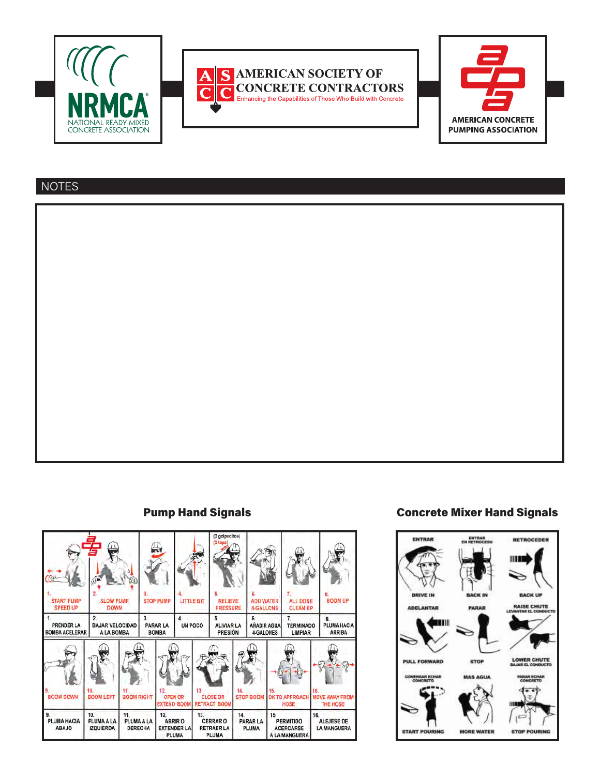





# **NOTES**





# Pump Hand Signals Concrete Mixer Hand Signals